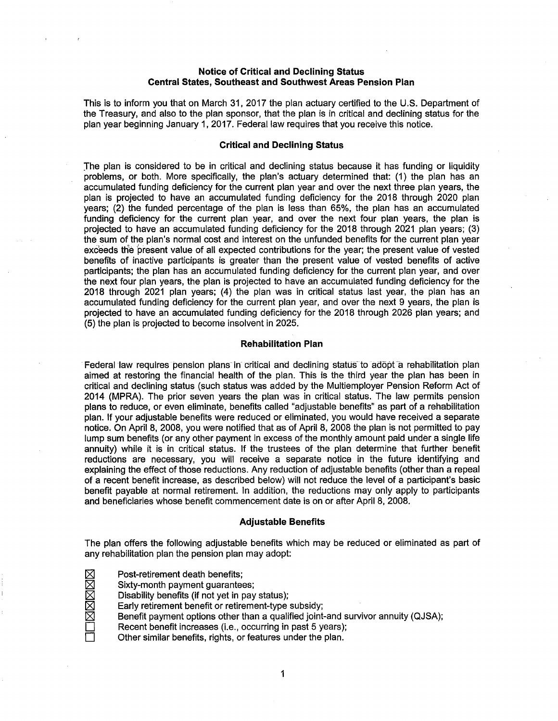# **Notice of Critical and Declining Status Central States, Southeast and Southwest Areas Pension Plan**

This is to inform you that on March 31, 2017 the plan actuary certified to the U.S. Department of the Treasury, and also to the plan sponsor, that the plan is in critical and declining status for the plan year beginning January 1, 2017. Federal law requires that you receive this notice.

# **Critical and Declining Status**

The plan is considered to be in critical and declining status because it has funding or liquidity problems, or both. More specifically, the plan's actuary determined that: (1) the plan has an accumulated funding deficiency for the current plan year and over the next three plan years, the plan is projected to have an accumulated funding deficiency for the 2018 through 2020 plan years; (2) the funded percentage of the plan is less than 65%, the plan has an accumulated funding deficiency for the current plan year, and over the next four plan years, the plan is projected to have an accumulated funding deficiency for the 2018 through 2021 plan years; (3) the sum of the plan's normal cost and interest on the unfunded benefits for the current plan year exceeds the present value of all expected contributions for the year; the present value of vested benefits of inactive participants is greater than the present value of vested benefits of active participants; the plan has an accumulated funding deficiency for the current plan year, and over the next four plan years, the plan is projected to have an accumulated funding deficiency for the 2018 through 2021 plan years; (4) the plan was in critical status last year, the plan has an accumulated funding deficiency for the current plan year, and over the next 9 years, the plan is projected to have an accumulated funding deficiency for the 2018 through 2026 plan years; and (5) the plan is projected to become insolvent in 2025.

#### **Rehabilitation Plan**

Federal law requires pension plans in critical and declining status to adopt a rehabilitation plan aimed at restoring the financial health of the plan. This is the third year the plan has been in critical and declining status (such status was added by the Multiemployer Pension Reform Act of 2014 (MPRA). The prior seven years the plan was in critical status. The law permits pension plans to reduce, or even eliminate, benefits called "adjustable benefits" as part of a rehabilitation plan. If your adjustable benefits were reduced or eliminated, you would have received a separate notice. On April 8, 2008, you were notified that as of April 8, 2008 the plan is not permitted to pay lump sum benefits (or any other payment in excess of the monthly amount paid under a single life annuity) while it is in critical status. If the trustees of the plan determine that further benefit reductions are necessary, you will receive a separate notice in the future identifying and explaining the effect of those reductions. Any reduction of adjustable benefits (other than a repeal of a recent benefit increase, as described below) will not reduce the level of a participant's basic benefit payable at normal retirement. In addition, the reductions may only apply to participants and beneficiaries whose benefit commencement date is on or after April 8, 2008.

#### **Adjustable Benefits**

The plan offers the following adjustable benefits which may be reduced or eliminated as part of any rehabilitation plan the pension plan may adopt:

- - Sixty-month payment guarantees;
	- Disability benefits (if not yet in pay status);
- <table>\n<tbody>\n<tr>\n<th>✓ Post-retirement death benefits;</th>\n</tr>\n<tr>\n<td>✓ Sixty-month payment guarantee</td>\n</tr>\n<tr>\n<td>✓ Disability benefits (if not yet in p<br/>Early retirement benefit or retire</td>\n</tr>\n<tr>\n<td>✓ Benefit payment options other t</td>\n</tr>\n</tbody>\n</table> Early retirement benefit or retirement-type subsidy;
	- Benefit payment options other than a qualified joint-and survivor annuity (QJSA);
	- Recent benefit increases (i.e., occurring in past 5 years);
	- Other similar benefits, rights, or features under the plan.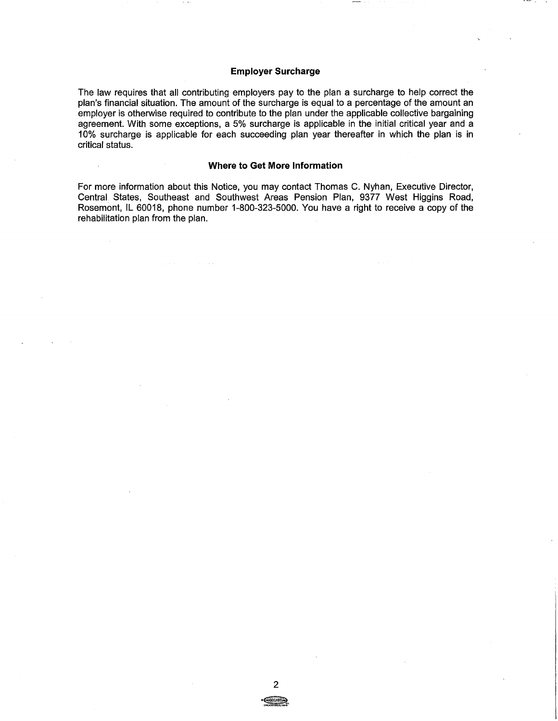# **Employer Surcharge**

The law requires that all contributing employers pay to the plan a surcharge to help correct the plan's financial situation. The amount of the surcharge is equal to a percentage of the amount an employer is otherwise required to contribute to the plan under the applicable collective bargaining agreement. With some exceptions, a 5% surcharge is applicable in the initial critical year and a 10% surcharge is applicable for each succeeding plan year thereafter in which the plan is in critical status.

### **Where to Get More Information**

 $\bar{z}$ 

For more information about this Notice, you may contact Thomas C. Nyhan, Executive Director, Central. States, Southeast and Southwest Areas Pension Plan, 9377 West Higgins Road, Rosemont, IL 60018, phone number 1-800-323-5000. You have a right to receive a copy of the rehabilitation plan from the plan.